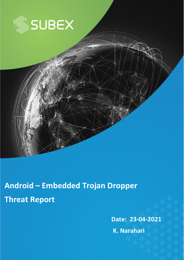

**Android – Embedded Trojan Dropper Threat Report**

**Date: 23-04-2021**

**K. Narahari**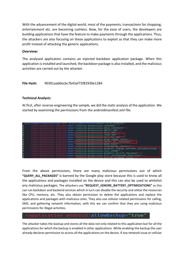With the advancement of the digital world, most of the payments, transactions for shopping, entertainment etc. are becoming cashless. Now, for the ease of users, the developers are building applications that have the feature to make payments through the applications. Thus, the attackers are also focusing on these applications to exploit so that they can make more profit instead of attacking the generic applications.

### **Overview:**

The analysed application contains an injected backdoor application package. When this application is installed and launched, the backdoor package is also installed, and the malicious activities are carried out by the attacker.

## **File Hash:** 90301aab0ecbc7b43af72f82930e1284

### **Technical Analysis:**

At first, after reverse-engineering the sample, we did the static analysis of the application. We started by examining the permissions from the androidmanifest.xml file.



From the above permissions, there are many malicious permissions out of which **"QUERY\_ALL\_PACKAGES"** is banned by the Google play store because this is used to know all the applications and packages installed on the device and this can also be used to whitelist any malicious packages. The attackers use **"REQUEST\_IGNORE\_BATTERY\_OPTIMIZATIONS"** as this can run backdoor and backend services which in turn can disable the security and utilize the resources like CPU, memory, etc. They also obtain permission to delete the applications and replace the applications and packages with malicious ones. They also use cellular-related permissions for calling, SMS, and gathering network information, with this we can confirm that they are using malicious permissions for illegal activities.

# oid:allowBackup="true'

The attacker takes the backup and stores all the data not only related to this application but for all the applications for which the backup is enabled in other applications. While enabling the backup the user already declares permission to access all the applications on the device. If any network issue or cellular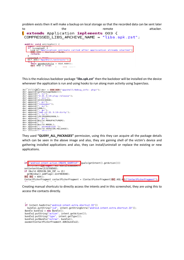problem exists then it will make a backup on local storage so that the recorded data can be sent later to the the remote remote attacker.

```
l extends Application implements 003 {
COMPRESSED_LIBS_ARCHIVE_NAME = "libs.spk.zst";
 public void onCreate() {
```


This is the malicious backdoor package "**libs.spk.zst**" then the backdoor will be installed on the device whenever the application is run and using hooks to run along main activity using Superclass.

```
der stringBuilder = 008.AOR("appshell/debug_info: pkg=");
der stringBuilder = 008.AOR("appshell,<br>der.append(getPackageName());<br>der.append("; v=");<br>der.append("; v=");<br>der.append("; v=");<br>der.append("; vc=");<br>der.append("; p=");<br>der.append("; p=");<br>der.append("; p=");<br>der.append(
der.append("; g=");<br>der.append("; g=");<br>der.append("; t=");<br>der.append("; t=");
der.append(1613594692000L);
der.append("");<br>der.append("");<br>der.append("");<br>der.append("");<br>der.append(Build.MODEL);<br>der.append(Build.VERSION.RELEASE);<br>der.append(Build.VERSION.RELEASE);
```
They used **"QUERY\_ALL\_PACKAGES"** permission, using this they can acquire all the package details which can be seen in the above image and also, they are gaining shell of the victim's device and gathering installed applications and also, they can install/uninstall or replace the existing or new applications.



Creating manual shortcuts to directly access the intents and in this screenshot, they are using this to access the contacts directly.

```
if (intent.hasExtra("android.intent.extra.shortcut.ID"))
 bundlel.putString("jid", intent.getStringExtra("android.intent.extra.shortcut.ID"));
Bundle bundle2 = new Bundle();
bundle2.putString("action", intent.getAction());
bundle2.putString("type", intent.getType());
bundle2.putBundle("extras", bundle1);
paymentContactPickerFragment.AON(bundle2);
```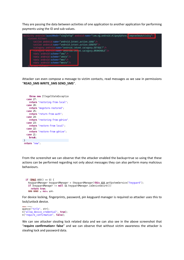They are passing the data between activities of one application to another application for performing payments using the ID and sub-values.



Attacker can even compose a message to victim contacts, read messages as we saw in permissions "**READ\_SMS WRITE\_SMS SEND\_SMS**".

```
throw new IllegalStateException
   case 27:
     return "restoring-from-local",
   case 26:
     return "msgstore-restored";
   case 25:
     return "return-from-auth";
   case 24:
     return "restoring-from-gdrive"
   case 23:
     return "restore-from-local";
   case 22:
     return "restore-from-gdrive";
   case 21:
     break;
\rightarrowreturn "new";
```
From the screenshot we can observe that the attacker enabled the backup=true so using that these actions can be performed regarding not only about messages they can also perform many malicious behaviours.

```
1f(0Hw2.000() == 0)KeyguardManager keyguardManager = (KeyguardManager)this.A04.getSystemService("keyguard");
  if (keyguardManager != null && keyguardManager.isDeviceSecure())
   return true;
  0.204 and = this 105
```
For device locking, fingerprints, password, pin keyguard manager is required so attacker uses this to lock/unlock device.

```
MAN LOVE
quence("title", str);
n("allow_device_credential", true);
n("require confirmation", false);
```
We can see attacker stealing lock related data and we can also see in the above screenshot that "**require confirmation= false**" and we can observe that without victim awareness the attacker is stealing lock and password data.